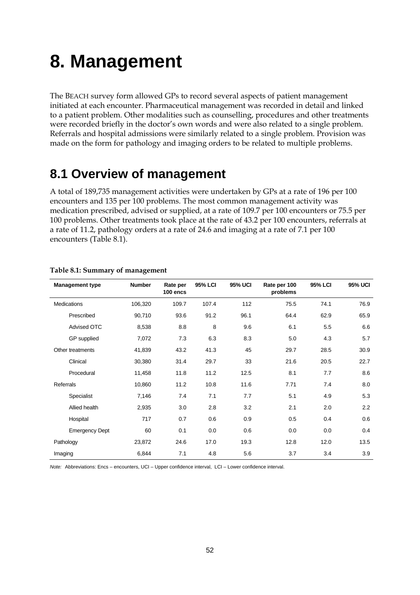# **8. Management**

The BEACH survey form allowed GPs to record several aspects of patient management initiated at each encounter. Pharmaceutical management was recorded in detail and linked to a patient problem. Other modalities such as counselling, procedures and other treatments were recorded briefly in the doctor's own words and were also related to a single problem. Referrals and hospital admissions were similarly related to a single problem. Provision was made on the form for pathology and imaging orders to be related to multiple problems.

### **8.1 Overview of management**

A total of 189,735 management activities were undertaken by GPs at a rate of 196 per 100 encounters and 135 per 100 problems. The most common management activity was medication prescribed, advised or supplied, at a rate of 109.7 per 100 encounters or 75.5 per 100 problems. Other treatments took place at the rate of 43.2 per 100 encounters, referrals at a rate of 11.2, pathology orders at a rate of 24.6 and imaging at a rate of 7.1 per 100 encounters (Table 8.1).

| <b>Management type</b> | <b>Number</b> | Rate per<br>100 encs | <b>95% LCI</b> | <b>95% UCI</b> | Rate per 100<br>problems | <b>95% LCI</b> | <b>95% UCI</b> |
|------------------------|---------------|----------------------|----------------|----------------|--------------------------|----------------|----------------|
| Medications            | 106,320       | 109.7                | 107.4          | 112            | 75.5                     | 74.1           | 76.9           |
| Prescribed             | 90,710        | 93.6                 | 91.2           | 96.1           | 64.4                     | 62.9           | 65.9           |
| <b>Advised OTC</b>     | 8,538         | 8.8                  | 8              | 9.6            | 6.1                      | 5.5            | 6.6            |
| GP supplied            | 7,072         | 7.3                  | 6.3            | 8.3            | 5.0                      | 4.3            | 5.7            |
| Other treatments       | 41,839        | 43.2                 | 41.3           | 45             | 29.7                     | 28.5           | 30.9           |
| Clinical               | 30,380        | 31.4                 | 29.7           | 33             | 21.6                     | 20.5           | 22.7           |
| Procedural             | 11,458        | 11.8                 | 11.2           | 12.5           | 8.1                      | 7.7            | 8.6            |
| Referrals              | 10,860        | 11.2                 | 10.8           | 11.6           | 7.71                     | 7.4            | 8.0            |
| Specialist             | 7,146         | 7.4                  | 7.1            | 7.7            | 5.1                      | 4.9            | 5.3            |
| Allied health          | 2,935         | 3.0                  | 2.8            | 3.2            | 2.1                      | 2.0            | 2.2            |
| Hospital               | 717           | 0.7                  | 0.6            | 0.9            | 0.5                      | 0.4            | 0.6            |
| <b>Emergency Dept</b>  | 60            | 0.1                  | 0.0            | 0.6            | 0.0                      | 0.0            | 0.4            |
| Pathology              | 23,872        | 24.6                 | 17.0           | 19.3           | 12.8                     | 12.0           | 13.5           |
| Imaging                | 6,844         | 7.1                  | 4.8            | 5.6            | 3.7                      | 3.4            | 3.9            |

### **Table 8.1: Summary of management**

*Note:* Abbreviations: Encs – encounters, UCI – Upper confidence interval, LCI – Lower confidence interval.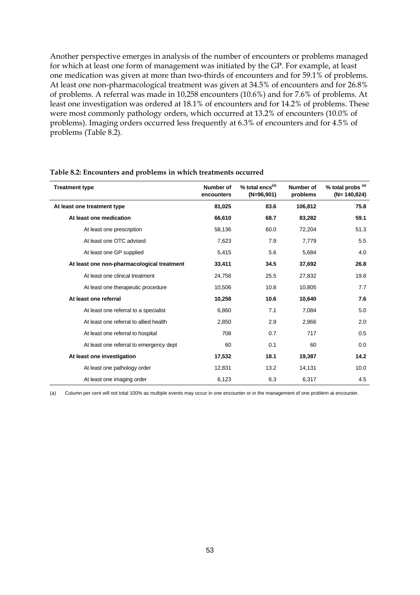Another perspective emerges in analysis of the number of encounters or problems managed for which at least one form of management was initiated by the GP. For example, at least one medication was given at more than two-thirds of encounters and for 59.1% of problems. At least one non-pharmacological treatment was given at 34.5% of encounters and for 26.8% of problems. A referral was made in 10,258 encounters (10.6%) and for 7.6% of problems. At least one investigation was ordered at 18.1% of encounters and for 14.2% of problems. These were most commonly pathology orders, which occurred at 13.2% of encounters (10.0% of problems). Imaging orders occurred less frequently at 6.3% of encounters and for 4.5% of problems (Table 8.2).

| <b>Treatment type</b>                      | Number of<br>encounters | % total encs <sup>(a)</sup><br>$(N=96,901)$ | Number of<br>problems | % total probs <sup>(a)</sup><br>$(N=140,824)$ |
|--------------------------------------------|-------------------------|---------------------------------------------|-----------------------|-----------------------------------------------|
| At least one treatment type                | 81,025                  | 83.6                                        | 106,812               | 75.8                                          |
| At least one medication                    | 66,610                  | 68.7                                        | 83,282                | 59.1                                          |
| At least one prescription                  | 58,136                  | 60.0                                        | 72,204                | 51.3                                          |
| At least one OTC advised                   | 7,623                   | 7.9                                         | 7,779                 | 5.5                                           |
| At least one GP supplied                   | 5,415                   | 5.6                                         | 5,684                 | 4.0                                           |
| At least one non-pharmacological treatment | 33,411                  | 34.5                                        | 37,692                | 26.8                                          |
| At least one clinical treatment            | 24,758                  | 25.5                                        | 27,832                | 19.8                                          |
| At least one therapeutic procedure         | 10,506                  | 10.8                                        | 10,805                | 7.7                                           |
| At least one referral                      | 10,258                  | 10.6                                        | 10,640                | 7.6                                           |
| At least one referral to a specialist      | 6,860                   | 7.1                                         | 7,084                 | 5.0                                           |
| At least one referral to allied health     | 2,850                   | 2.9                                         | 2,866                 | 2.0                                           |
| At least one referral to hospital          | 708                     | 0.7                                         | 717                   | 0.5                                           |
| At least one referral to emergency dept    | 60                      | 0.1                                         | 60                    | 0.0                                           |
| At least one investigation                 | 17,532                  | 18.1                                        | 19,387                | 14.2                                          |
| At least one pathology order               | 12,831                  | 13.2                                        | 14,131                | 10.0                                          |
| At least one imaging order                 | 6,123                   | 6.3                                         | 6,317                 | 4.5                                           |

#### **Table 8.2: Encounters and problems in which treatments occurred**

(a) Column per cent will not total 100% as multiple events may occur in one encounter or in the management of one problem at encounter.